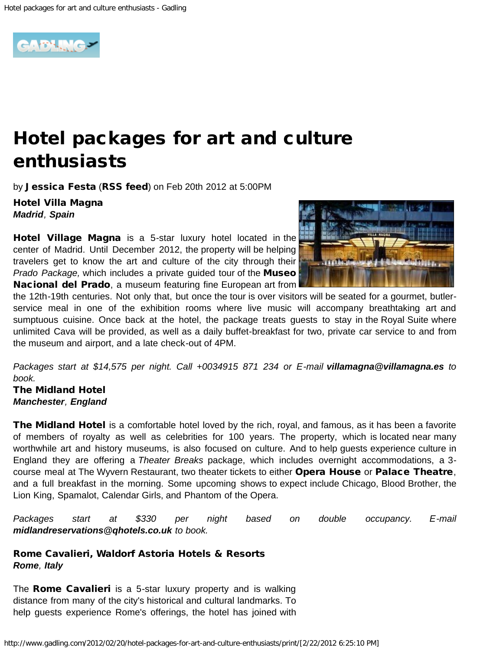

## Hotel packages for art and culture enthusiasts

by [Jessica Festa](http://www.gadling.com/bloggers/jessica-festa/) ([RSS feed](http://www.gadling.com/bloggers/jessica-festa/rss.xml)) on Feb 20th 2012 at 5:00PM

Hotel Villa Magna *[Madrid](http://www.gadling.com/tag/Madrid/), [Spain](http://www.gadling.com/tag/Spain/)*

[Hotel Village Magna](http://www.villamagna.es/) is a 5-star luxury hotel located in the center of Madrid. Until December 2012, the property will be helping travelers get to know the art and culture of the city through their *Prado Package,* which includes a private guided tour of the [Museo](http://www.museodelprado.es/en) [Nacional del Prado](http://www.museodelprado.es/en), a museum featuring fine European art from



the 12th-19th centuries. Not only that, but once the tour is over visitors will be seated for a gourmet, butlerservice meal in one of the exhibition rooms where live music will accompany breathtaking art and sumptuous cuisine. Once back at the hotel, the package treats guests to stay in the Royal Suite where unlimited Cava will be provided, as well as a daily buffet-breakfast for two, private car service to and from the museum and airport, and a late check-out of 4PM.

*Packages start at \$14,575 per night. Call +0034915 871 234 or E-mail [villamagna@villamagna.es](mailto:villamagna@villamagna.es?subject=Villa%20Magna%20Reservations%20) to book.*

The Midland Hotel *[Manchester](http://www.gadling.com/tag/Manchester/), [England](http://www.gadling.com/tag/England/)*

[The Midland Hotel](http://www.qhotels.co.uk/hotels/the-midland-manchester.aspx) is a comfortable hotel loved by the rich, royal, and famous, as it has been a favorite of members of royalty as well as celebrities for 100 years. The property, which is located near many worthwhile art and history museums, is also focused on culture. And to help guests experience culture in England they are offering a *Theater Breaks* package, which includes overnight accommodations, a 3- course meal at The Wyvern Restaurant, two theater tickets to either [Opera House](http://www.atgtickets.com/venue/Opera-House-Manchester/172/) or [Palace Theatre](http://www.palacetheatre.org/), and a full breakfast in the morning. Some upcoming shows to expect include Chicago, Blood Brother, the Lion King, Spamalot, Calendar Girls, and Phantom of the Opera.

*Packages start at \$330 per night based on double occupancy. E-mail [midlandreservations@qhotels.co.uk](mailto:midlandreservations@qhotels.co.uk) to book.* 

## Rome Cavalieri, Waldorf Astoria Hotels & Resorts *[Rome](http://www.gadling.com/tag/Rome/), [Italy](http://www.gadling.com/tag/Italy/)*

The **[Rome Cavalieri](http://www.romecavalieri.com/)** is a 5-star luxury property and is walking distance from many of the city's historical and cultural landmarks. To help guests experience Rome's offerings, the hotel has joined with